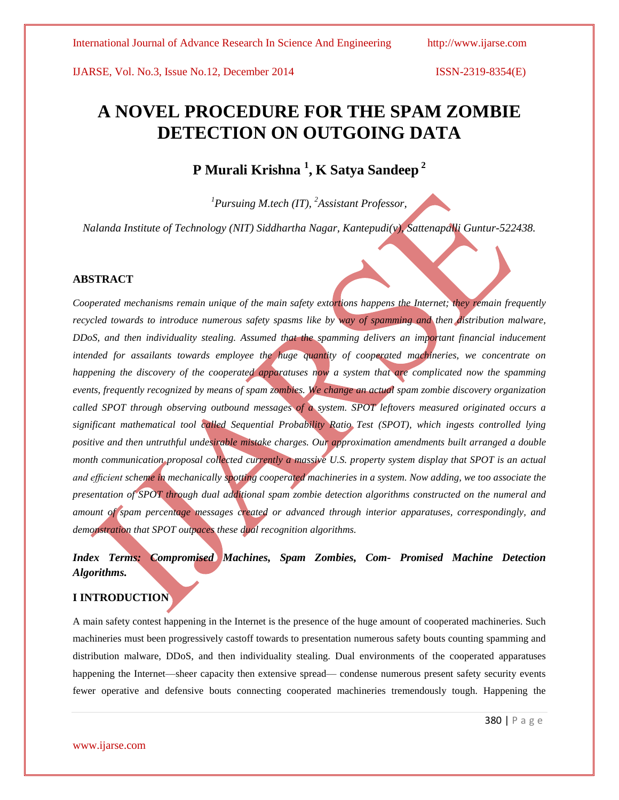# **A NOVEL PROCEDURE FOR THE SPAM ZOMBIE DETECTION ON OUTGOING DATA**

# **P Murali Krishna <sup>1</sup> , K Satya Sandeep <sup>2</sup>**

*<sup>1</sup>Pursuing M.tech (IT), <sup>2</sup>Assistant Professor,*

*Nalanda Institute of Technology (NIT) Siddhartha Nagar, Kantepudi(v), Sattenapalli Guntur-522438.*

### **ABSTRACT**

*Cooperated mechanisms remain unique of the main safety extortions happens the Internet; they remain frequently recycled towards to introduce numerous safety spasms like by way of spamming and then distribution malware, DDoS, and then individuality stealing. Assumed that the spamming delivers an important financial inducement intended for assailants towards employee the huge quantity of cooperated machineries, we concentrate on happening the discovery of the cooperated apparatuses now a system that are complicated now the spamming events, frequently recognized by means of spam zombies. We change an actual spam zombie discovery organization called SPOT through observing outbound messages of a system. SPOT leftovers measured originated occurs a significant mathematical tool called Sequential Probability Ratio Test (SPOT), which ingests controlled lying positive and then untruthful undesirable mistake charges. Our approximation amendments built arranged a double month communication proposal collected currently a massive U.S. property system display that SPOT is an actual and efficient scheme in mechanically spotting cooperated machineries in a system. Now adding, we too associate the presentation of SPOT through dual additional spam zombie detection algorithms constructed on the numeral and amount of spam percentage messages created or advanced through interior apparatuses, correspondingly, and demonstration that SPOT outpaces these dual recognition algorithms.*

# *Index Terms: Compromised Machines, Spam Zombies, Com- Promised Machine Detection Algorithms.*

# **I INTRODUCTION**

A main safety contest happening in the Internet is the presence of the huge amount of cooperated machineries. Such machineries must been progressively castoff towards to presentation numerous safety bouts counting spamming and distribution malware, DDoS, and then individuality stealing. Dual environments of the cooperated apparatuses happening the Internet—sheer capacity then extensive spread— condense numerous present safety security events fewer operative and defensive bouts connecting cooperated machineries tremendously tough. Happening the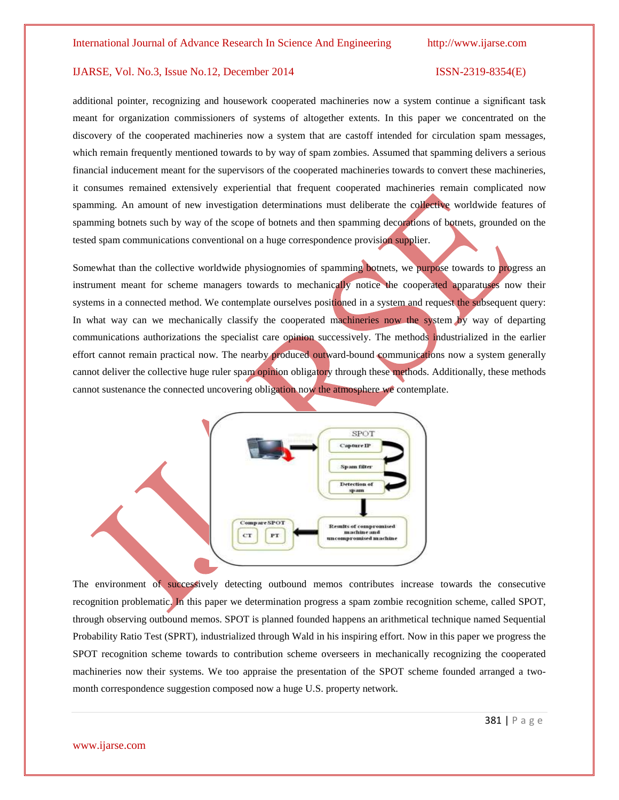additional pointer, recognizing and housework cooperated machineries now a system continue a significant task meant for organization commissioners of systems of altogether extents. In this paper we concentrated on the discovery of the cooperated machineries now a system that are castoff intended for circulation spam messages, which remain frequently mentioned towards to by way of spam zombies. Assumed that spamming delivers a serious financial inducement meant for the supervisors of the cooperated machineries towards to convert these machineries, it consumes remained extensively experiential that frequent cooperated machineries remain complicated now spamming. An amount of new investigation determinations must deliberate the collective worldwide features of spamming botnets such by way of the scope of botnets and then spamming decorations of botnets, grounded on the tested spam communications conventional on a huge correspondence provision supplier.

Somewhat than the collective worldwide physiognomies of spamming botnets, we purpose towards to progress an instrument meant for scheme managers towards to mechanically notice the cooperated apparatuses now their systems in a connected method. We contemplate ourselves positioned in a system and request the subsequent query: In what way can we mechanically classify the cooperated machineries now the system by way of departing communications authorizations the specialist care opinion successively. The methods industrialized in the earlier effort cannot remain practical now. The nearby produced outward-bound communications now a system generally cannot deliver the collective huge ruler spam opinion obligatory through these methods. Additionally, these methods cannot sustenance the connected uncovering obligation now the atmosphere we contemplate.



The environment of successively detecting outbound memos contributes increase towards the consecutive recognition problematic. In this paper we determination progress a spam zombie recognition scheme, called SPOT, through observing outbound memos. SPOT is planned founded happens an arithmetical technique named Sequential Probability Ratio Test (SPRT), industrialized through Wald in his inspiring effort. Now in this paper we progress the SPOT recognition scheme towards to contribution scheme overseers in mechanically recognizing the cooperated machineries now their systems. We too appraise the presentation of the SPOT scheme founded arranged a twomonth correspondence suggestion composed now a huge U.S. property network.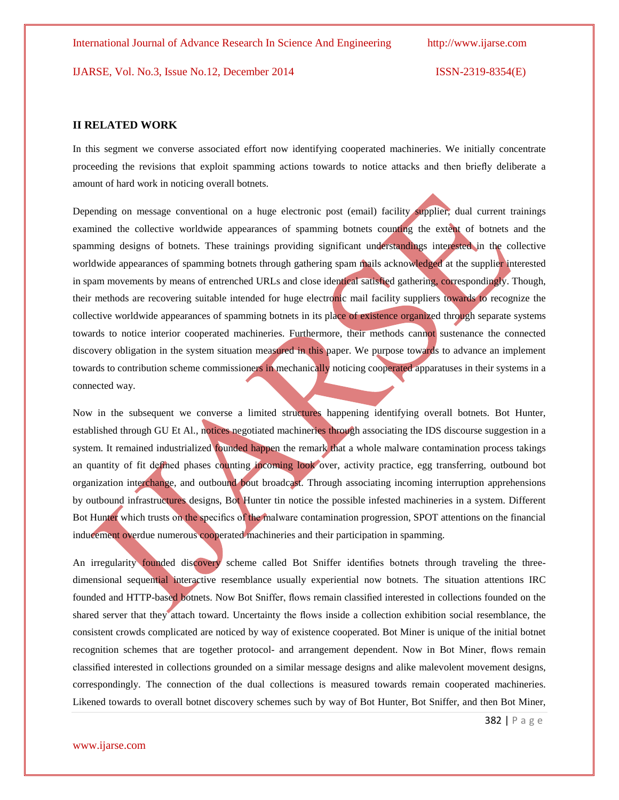#### **II RELATED WORK**

In this segment we converse associated effort now identifying cooperated machineries. We initially concentrate proceeding the revisions that exploit spamming actions towards to notice attacks and then briefly deliberate a amount of hard work in noticing overall botnets.

Depending on message conventional on a huge electronic post (email) facility supplier, dual current trainings examined the collective worldwide appearances of spamming botnets counting the extent of botnets and the spamming designs of botnets. These trainings providing significant understandings interested in the collective worldwide appearances of spamming botnets through gathering spam mails acknowledged at the supplier interested in spam movements by means of entrenched URLs and close identical satisfied gathering, correspondingly. Though, their methods are recovering suitable intended for huge electronic mail facility suppliers towards to recognize the collective worldwide appearances of spamming botnets in its place of existence organized through separate systems towards to notice interior cooperated machineries. Furthermore, their methods cannot sustenance the connected discovery obligation in the system situation measured in this paper. We purpose towards to advance an implement towards to contribution scheme commissioners in mechanically noticing cooperated apparatuses in their systems in a connected way.

Now in the subsequent we converse a limited structures happening identifying overall botnets. Bot Hunter, established through GU Et Al., notices negotiated machineries through associating the IDS discourse suggestion in a system. It remained industrialized founded happen the remark that a whole malware contamination process takings an quantity of fit defined phases counting incoming look over, activity practice, egg transferring, outbound bot organization interchange, and outbound bout broadcast. Through associating incoming interruption apprehensions by outbound infrastructures designs, Bot Hunter tin notice the possible infested machineries in a system. Different Bot Hunter which trusts on the specifics of the malware contamination progression, SPOT attentions on the financial inducement overdue numerous cooperated machineries and their participation in spamming.

An irregularity founded discovery scheme called Bot Sniffer identifies botnets through traveling the threedimensional sequential interactive resemblance usually experiential now botnets. The situation attentions IRC founded and HTTP-based botnets. Now Bot Sniffer, flows remain classified interested in collections founded on the shared server that they attach toward. Uncertainty the flows inside a collection exhibition social resemblance, the consistent crowds complicated are noticed by way of existence cooperated. Bot Miner is unique of the initial botnet recognition schemes that are together protocol- and arrangement dependent. Now in Bot Miner, flows remain classified interested in collections grounded on a similar message designs and alike malevolent movement designs, correspondingly. The connection of the dual collections is measured towards remain cooperated machineries. Likened towards to overall botnet discovery schemes such by way of Bot Hunter, Bot Sniffer, and then Bot Miner,

382 | P a g e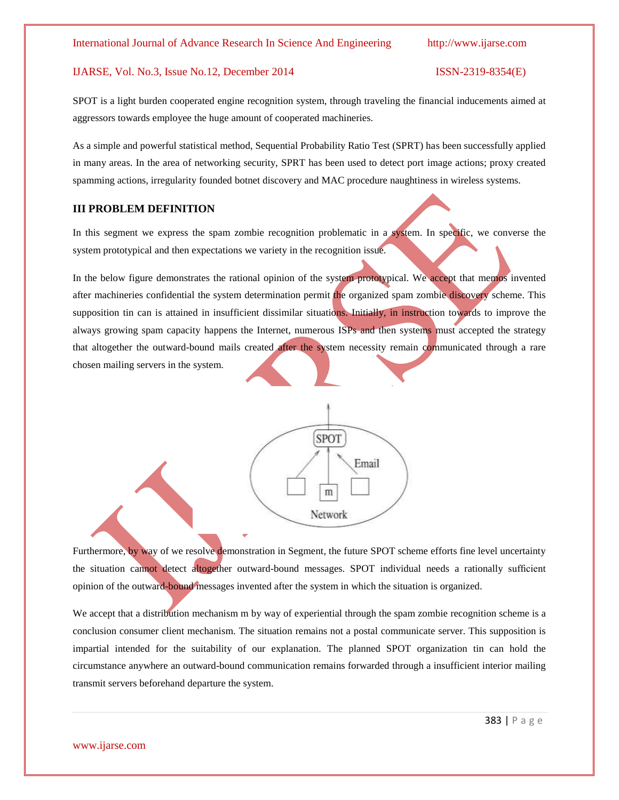SPOT is a light burden cooperated engine recognition system, through traveling the financial inducements aimed at aggressors towards employee the huge amount of cooperated machineries.

As a simple and powerful statistical method, Sequential Probability Ratio Test (SPRT) has been successfully applied in many areas. In the area of networking security, SPRT has been used to detect port image actions; proxy created spamming actions, irregularity founded botnet discovery and MAC procedure naughtiness in wireless systems.

### **III PROBLEM DEFINITION**

In this segment we express the spam zombie recognition problematic in a system. In specific, we converse the system prototypical and then expectations we variety in the recognition issue.

In the below figure demonstrates the rational opinion of the system prototypical. We accept that memos invented after machineries confidential the system determination permit the organized spam zombie discovery scheme. This supposition tin can is attained in insufficient dissimilar situations. Initially, in instruction towards to improve the always growing spam capacity happens the Internet, numerous ISPs and then systems must accepted the strategy that altogether the outward-bound mails created after the system necessity remain communicated through a rare chosen mailing servers in the system.



Furthermore, by way of we resolve demonstration in Segment, the future SPOT scheme efforts fine level uncertainty the situation cannot detect altogether outward-bound messages. SPOT individual needs a rationally sufficient opinion of the outward-bound messages invented after the system in which the situation is organized.

We accept that a distribution mechanism m by way of experiential through the spam zombie recognition scheme is a conclusion consumer client mechanism. The situation remains not a postal communicate server. This supposition is impartial intended for the suitability of our explanation. The planned SPOT organization tin can hold the circumstance anywhere an outward-bound communication remains forwarded through a insufficient interior mailing transmit servers beforehand departure the system.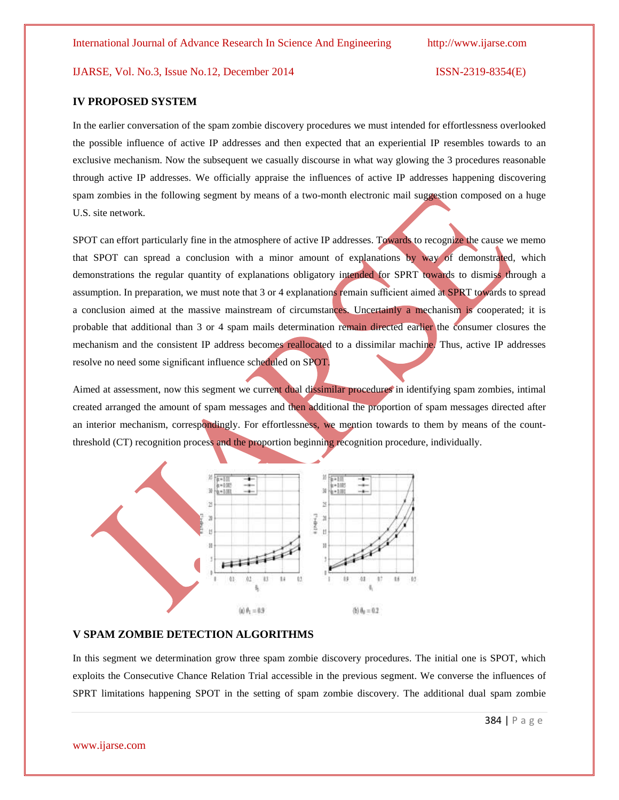#### **IV PROPOSED SYSTEM**

In the earlier conversation of the spam zombie discovery procedures we must intended for effortlessness overlooked the possible influence of active IP addresses and then expected that an experiential IP resembles towards to an exclusive mechanism. Now the subsequent we casually discourse in what way glowing the 3 procedures reasonable through active IP addresses. We officially appraise the influences of active IP addresses happening discovering spam zombies in the following segment by means of a two-month electronic mail suggestion composed on a huge U.S. site network.

SPOT can effort particularly fine in the atmosphere of active IP addresses. Towards to recognize the cause we memo that SPOT can spread a conclusion with a minor amount of explanations by way of demonstrated, which demonstrations the regular quantity of explanations obligatory intended for SPRT towards to dismiss through a assumption. In preparation, we must note that 3 or 4 explanations remain sufficient aimed at SPRT towards to spread a conclusion aimed at the massive mainstream of circumstances. Uncertainly a mechanism is cooperated; it is probable that additional than 3 or 4 spam mails determination remain directed earlier the consumer closures the mechanism and the consistent IP address becomes reallocated to a dissimilar machine. Thus, active IP addresses resolve no need some significant influence scheduled on SPOT.

Aimed at assessment, now this segment we current dual dissimilar procedures in identifying spam zombies, intimal created arranged the amount of spam messages and then additional the proportion of spam messages directed after an interior mechanism, correspondingly. For effortlessness, we mention towards to them by means of the countthreshold (CT) recognition process and the proportion beginning recognition procedure, individually.



### **V SPAM ZOMBIE DETECTION ALGORITHMS**

In this segment we determination grow three spam zombie discovery procedures. The initial one is SPOT, which exploits the Consecutive Chance Relation Trial accessible in the previous segment. We converse the influences of SPRT limitations happening SPOT in the setting of spam zombie discovery. The additional dual spam zombie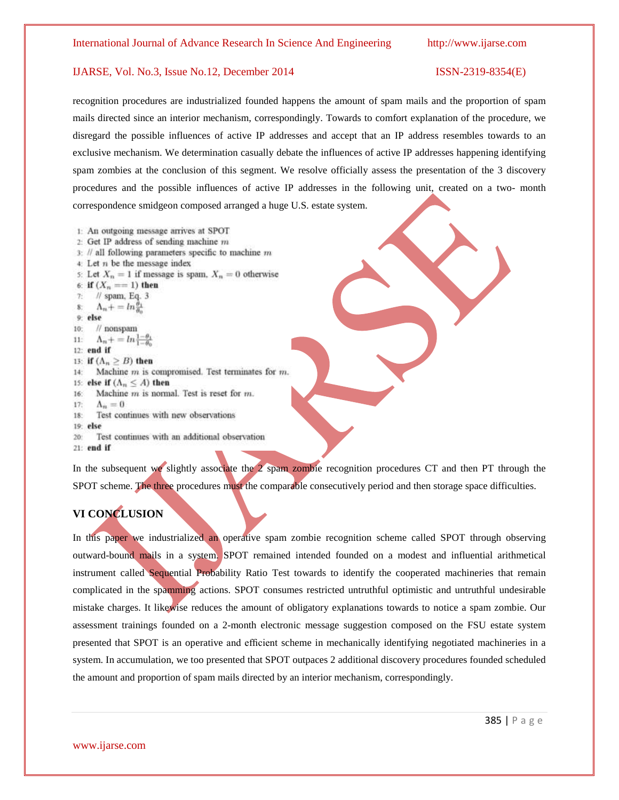recognition procedures are industrialized founded happens the amount of spam mails and the proportion of spam mails directed since an interior mechanism, correspondingly. Towards to comfort explanation of the procedure, we disregard the possible influences of active IP addresses and accept that an IP address resembles towards to an exclusive mechanism. We determination casually debate the influences of active IP addresses happening identifying spam zombies at the conclusion of this segment. We resolve officially assess the presentation of the 3 discovery procedures and the possible influences of active IP addresses in the following unit, created on a two- month correspondence smidgeon composed arranged a huge U.S. estate system.

- 1: An outgoing message arrives at SPOT
- 2: Get IP address of sending machine m
- $3$ : // all following parameters specific to machine  $m$
- $4$ : Let  $n$  be the message index

```
5: Let X_n = 1 if message is spam, X_n = 0 otherwise
```
6: if  $(X_n == 1)$  then

```
\prime\prime spam, Eq. 3
T.
```

```
\Lambda_n + = \ln \frac{\theta_1}{n}\overline{\mathbf{8}}
```

```
9: else
```

```
10<sup>1</sup>\prime\prime nonspam
               \Lambda_n + \frac{1}{n} \ln \frac{1}{1}
```

```
11:12: end if
```

```
13: if (\Lambda_n \geq B) then
```

```
Machine m is compromised. Test terminates for m.
14:
```

```
15: else if (\Lambda_n \leq A) then
```
- Machine  $m$  is normal. Test is reset for  $m$ . 16:
- 17:  $\Lambda_n=0$
- Test continues with new observations  $18:$
- 19: else
- $20<sub>1</sub>$ Test continues with an additional observation

```
21: end if
```
In the subsequent we slightly associate the 2 spam zombie recognition procedures CT and then PT through the SPOT scheme. The three procedures must the comparable consecutively period and then storage space difficulties.

# **VI CONCLUSION**

In this paper we industrialized an operative spam zombie recognition scheme called SPOT through observing outward-bound mails in a system. SPOT remained intended founded on a modest and influential arithmetical instrument called Sequential Probability Ratio Test towards to identify the cooperated machineries that remain complicated in the spamming actions. SPOT consumes restricted untruthful optimistic and untruthful undesirable mistake charges. It likewise reduces the amount of obligatory explanations towards to notice a spam zombie. Our assessment trainings founded on a 2-month electronic message suggestion composed on the FSU estate system presented that SPOT is an operative and efficient scheme in mechanically identifying negotiated machineries in a system. In accumulation, we too presented that SPOT outpaces 2 additional discovery procedures founded scheduled the amount and proportion of spam mails directed by an interior mechanism, correspondingly.